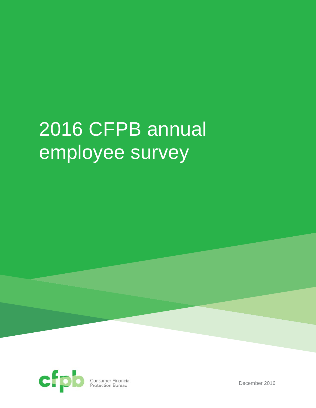# 2016 CFPB annual employee survey



**Consumer Financial**<br>Protection Bureau

December 2016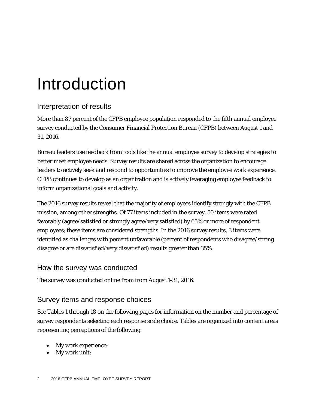# Introduction

# Interpretation of results

More than 87 percent of the CFPB employee population responded to the fifth annual employee survey conducted by the Consumer Financial Protection Bureau (CFPB) between August 1 and 31, 2016.

Bureau leaders use feedback from tools like the annual employee survey to develop strategies to better meet employee needs. Survey results are shared across the organization to encourage leaders to actively seek and respond to opportunities to improve the employee work experience. CFPB continues to develop as an organization and is actively leveraging employee feedback to inform organizational goals and activity.

The 2016 survey results reveal that the majority of employees identify strongly with the CFPB mission, among other strengths. Of 77 items included in the survey, 50 items were rated favorably (agree/satisfied or strongly agree/very satisfied) by 65% or more of respondent employees; these items are considered strengths. In the 2016 survey results, 3 items were identified as challenges with percent unfavorable (percent of respondents who disagree/strong disagree or are dissatisfied/very dissatisfied) results greater than 35%.

### How the survey was conducted

The survey was conducted online from from August 1-31, 2016.

## Survey items and response choices

See Tables 1 through 18 on the following pages for information on the number and percentage of survey respondents selecting each response scale choice. Tables are organized into content areas representing perceptions of the following:

- My work experience;
- My work unit;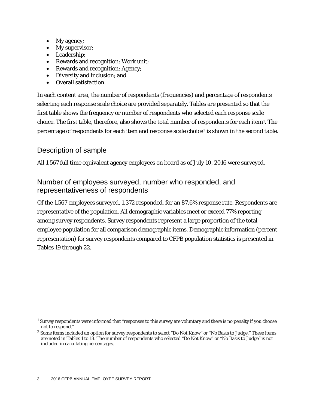- My agency;
- My supervisor;
- Leadership;
- Rewards and recognition: Work unit;
- Rewards and recognition: Agency;
- Diversity and inclusion; and
- Overall satisfaction.

In each content area, the number of respondents (frequencies) and percentage of respondents selecting each response scale choice are provided separately. Tables are presented so that the first table shows the frequency or number of respondents who selected each response scale choice. The first table, therefore, also shows the total number of respondents for each item[1.](#page-2-0) The percentage of respondents for each item and response scale choice<sup>[2](#page-2-1)</sup> is shown in the second table.

### Description of sample

1

All 1,567 full time equivalent agency employees on board as of July 10, 2016 were surveyed.

### Number of employees surveyed, number who responded, and representativeness of respondents

Of the 1,567 employees surveyed, 1,372 responded, for an 87.6% response rate. Respondents are representative of the population. All demographic variables meet or exceed 77% reporting among survey respondents. Survey respondents represent a large proportion of the total employee population for all comparison demographic items. Demographic information (percent representation) for survey respondents compared to CFPB population statistics is presented in Tables 19 through 22.

<span id="page-2-0"></span><sup>1</sup> Survey respondents were informed that "responses to this survey are voluntary and there is no penalty if you choose not to respond."

<span id="page-2-1"></span><sup>&</sup>lt;sup>2</sup> Some items included an option for survey respondents to select "Do Not Know" or "No Basis to Judge." These items are noted in Tables 1 to 18. The number of respondents who selected "Do Not Know" or "No Basis to Judge" is not included in calculating percentages.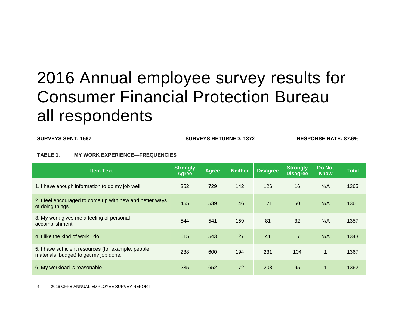# 2016 Annual employee survey results for Consumer Financial Protection Bureau all respondents

**SURVEYS SENT: 1567 SURVEYS RETURNED: 1372 RESPONSE RATE: 87.6%** 

#### **TABLE 1. MY WORK EXPERIENCE—FREQUENCIES**

| <b>Item Text</b>                                                                               | <b>Strongly</b><br><b>Agree</b> | <b>Agree</b> | <b>Neither</b> | <b>Disagree</b> | <b>Strongly</b><br><b>Disagree</b> | <b>Do Not</b><br><b>Know</b> | <b>Total</b> |
|------------------------------------------------------------------------------------------------|---------------------------------|--------------|----------------|-----------------|------------------------------------|------------------------------|--------------|
| 1. I have enough information to do my job well.                                                | 352                             | 729          | 142            | 126             | 16                                 | N/A                          | 1365         |
| 2. I feel encouraged to come up with new and better ways<br>of doing things.                   | 455                             | 539          | 146            | 171             | 50                                 | N/A                          | 1361         |
| 3. My work gives me a feeling of personal<br>accomplishment.                                   | 544                             | 541          | 159            | 81              | 32                                 | N/A                          | 1357         |
| 4. I like the kind of work I do.                                                               | 615                             | 543          | 127            | 41              | 17                                 | N/A                          | 1343         |
| 5. I have sufficient resources (for example, people,<br>materials, budget) to get my job done. | 238                             | 600          | 194            | 231             | 104                                | 1                            | 1367         |
| 6. My workload is reasonable.                                                                  | 235                             | 652          | 172            | 208             | 95                                 | $\mathbf{1}$                 | 1362         |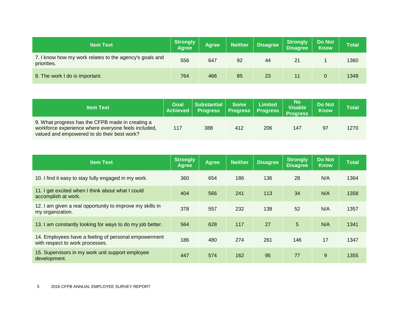| <b>Item Text</b>                                                       | Strongly<br><b>Agree</b> | Agree | <b>Neither</b> | <b>Disagree</b> | Strongly<br><b>Disagree</b> | <b>Do Not</b><br><b>Know</b> | <b>Total</b> |
|------------------------------------------------------------------------|--------------------------|-------|----------------|-----------------|-----------------------------|------------------------------|--------------|
| 7. I know how my work relates to the agency's goals and<br>priorities. | 556                      | 647   | 92             | 44              | 21                          |                              | 1360         |
| 8. The work I do is important.                                         | 764                      | 466   | 85             | 23              |                             |                              | 1349         |

| <b>Item Text</b>                                                                                                                                       | <b>Goal</b><br><b>Achieved</b> | Substantial<br><b>Progress</b> | <b>Some</b><br><b>Progress</b> | <b>Limited</b><br><b>Progress</b> | <b>No</b><br><b>Visable</b><br><b>Progress</b> | <b>Do Not</b><br><b>Know</b> | Total |
|--------------------------------------------------------------------------------------------------------------------------------------------------------|--------------------------------|--------------------------------|--------------------------------|-----------------------------------|------------------------------------------------|------------------------------|-------|
| 9. What progress has the CFPB made in creating a<br>workforce experience where everyone feels included,<br>valued and empowered to do their best work? | 117                            | 388                            | 412                            | 206                               | 147                                            | 97                           | 1270  |

| <b>Item Text</b>                                                                        | <b>Strongly</b><br><b>Agree</b> | <b>Agree</b> | <b>Neither</b> | <b>Disagree</b> | <b>Strongly</b><br><b>Disagree</b> | Do Not<br><b>Know</b> | <b>Total</b> |
|-----------------------------------------------------------------------------------------|---------------------------------|--------------|----------------|-----------------|------------------------------------|-----------------------|--------------|
| 10. I find it easy to stay fully engaged in my work.                                    | 360                             | 654          | 186            | 136             | 28                                 | N/A                   | 1364         |
| 11. I get excited when I think about what I could<br>accomplish at work.                | 404                             | 566          | 241            | 113             | 34                                 | N/A                   | 1358         |
| 12. I am given a real opportunity to improve my skills in<br>my organization.           | 378                             | 557          | 232            | 138             | 52                                 | N/A                   | 1357         |
| 13. I am constantly looking for ways to do my job better.                               | 564                             | 628          | 117            | 27              | 5                                  | N/A                   | 1341         |
| 14. Employees have a feeling of personal empowerment<br>with respect to work processes. | 186                             | 480          | 274            | 261             | 146                                | 17                    | 1347         |
| 15. Supervisors in my work unit support employee<br>development.                        | 447                             | 574          | 162            | 95              | 77                                 | 9                     | 1355         |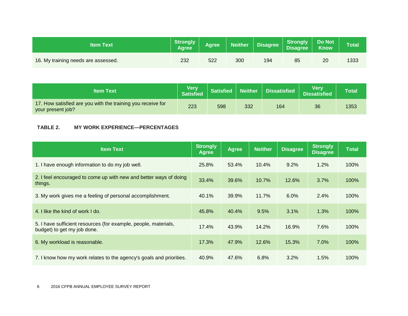| <b>Item Text</b>                    | Strongly<br><b>Agree</b> | Agree | Neither | <b>Disagree</b> | <b>Strongly<br/>Disagree</b> | <b>Do Not</b><br><b>Know</b> | <b>Total</b> |
|-------------------------------------|--------------------------|-------|---------|-----------------|------------------------------|------------------------------|--------------|
| 16. My training needs are assessed. | 232                      | 522   | 300     | 194             | 85                           | 20                           | 1333         |

| <b>Item Text</b>                                                                 | <b>Very</b><br><b>Satisfied</b> | Satisfied Neither |     | <b>Dissatisfied</b> | Verv<br><b>Dissatisfied</b> | <b>Total</b> |
|----------------------------------------------------------------------------------|---------------------------------|-------------------|-----|---------------------|-----------------------------|--------------|
| 17. How satisfied are you with the training you receive for<br>your present job? | 223                             | 598               | 332 | 164                 | 36                          | 1353         |

#### **TABLE 2. MY WORK EXPERIENCE—PERCENTAGES**

| <b>Item Text</b>                                                                               | <b>Strongly</b><br><b>Agree</b> | <b>Agree</b> | <b>Neither</b> | <b>Disagree</b> | <b>Strongly</b><br><b>Disagree</b> | <b>Total</b> |
|------------------------------------------------------------------------------------------------|---------------------------------|--------------|----------------|-----------------|------------------------------------|--------------|
| 1. I have enough information to do my job well.                                                | 25.8%                           | 53.4%        | 10.4%          | $9.2\%$         | 1.2%                               | 100%         |
| 2. I feel encouraged to come up with new and better ways of doing<br>things.                   | 33.4%                           | 39.6%        | 10.7%          | 12.6%           | 3.7%                               | 100%         |
| 3. My work gives me a feeling of personal accomplishment.                                      | 40.1%                           | 39.9%        | 11.7%          | 6.0%            | 2.4%                               | 100%         |
| 4. I like the kind of work I do.                                                               | 45.8%                           | 40.4%        | 9.5%           | 3.1%            | 1.3%                               | 100%         |
| 5. I have sufficient resources (for example, people, materials,<br>budget) to get my job done. | 17.4%                           | 43.9%        | 14.2%          | 16.9%           | 7.6%                               | 100%         |
| 6. My workload is reasonable.                                                                  | 17.3%                           | 47.9%        | 12.6%          | 15.3%           | 7.0%                               | 100%         |
| 7. I know how my work relates to the agency's goals and priorities.                            | 40.9%                           | 47.6%        | 6.8%           | 3.2%            | 1.5%                               | 100%         |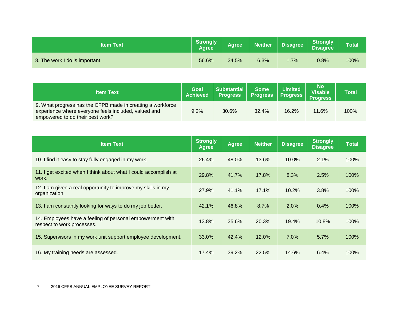| <b>Item Text</b>               | <b>Strongly</b><br><b>Agree</b> | Agree | <b>Neither</b> | <b>Disagree</b> | <b>Strongly</b><br><b>Disagree</b> | Total |
|--------------------------------|---------------------------------|-------|----------------|-----------------|------------------------------------|-------|
| 8. The work I do is important. | 56.6%                           | 34.5% | 6.3%           | $.7\%$          | 0.8%                               | 100%  |

| <b>Item Text</b>                                                                                                                                       | Goal<br><b>Achieved</b> | Substantial<br><b>Progress</b> | <b>Some</b><br><b>Progress</b> | <b>Limited</b><br><b>Progress</b> | <b>No</b><br>Visable<br><b>Progress</b> | Total |
|--------------------------------------------------------------------------------------------------------------------------------------------------------|-------------------------|--------------------------------|--------------------------------|-----------------------------------|-----------------------------------------|-------|
| 9. What progress has the CFPB made in creating a workforce<br>experience where everyone feels included, valued and<br>empowered to do their best work? | 9.2%                    | 30.6%                          | 32.4%                          | 16.2%                             | 11.6%                                   | 100%  |

| <b>Item Text</b>                                                                        | <b>Strongly</b><br><b>Agree</b> | <b>Agree</b> | <b>Neither</b> | <b>Disagree</b> | <b>Strongly</b><br><b>Disagree</b> | <b>Total</b> |
|-----------------------------------------------------------------------------------------|---------------------------------|--------------|----------------|-----------------|------------------------------------|--------------|
| 10. I find it easy to stay fully engaged in my work.                                    | 26.4%                           | 48.0%        | 13.6%          | 10.0%           | 2.1%                               | 100%         |
| 11. I get excited when I think about what I could accomplish at<br>work.                | 29.8%                           | 41.7%        | 17.8%          | 8.3%            | 2.5%                               | 100%         |
| 12. I am given a real opportunity to improve my skills in my<br>organization.           | 27.9%                           | 41.1%        | 17.1%          | 10.2%           | 3.8%                               | 100%         |
| 13. I am constantly looking for ways to do my job better.                               | 42.1%                           | 46.8%        | 8.7%           | 2.0%            | 0.4%                               | 100%         |
| 14. Employees have a feeling of personal empowerment with<br>respect to work processes. | 13.8%                           | 35.6%        | 20.3%          | 19.4%           | 10.8%                              | 100%         |
| 15. Supervisors in my work unit support employee development.                           | 33.0%                           | 42.4%        | 12.0%          | 7.0%            | 5.7%                               | 100%         |
| 16. My training needs are assessed.                                                     | 17.4%                           | 39.2%        | 22.5%          | 14.6%           | 6.4%                               | 100%         |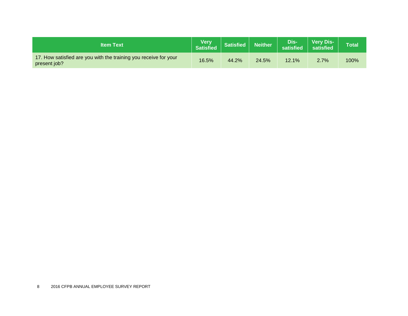| <b>Item Text</b>                                                                 | <b>Very</b><br><b>Satisfied</b> | <b>Satisfied</b> | Neither | Dis-<br>satisfied | <b>Very Dis-</b><br>satisfied | <b>Total</b> |
|----------------------------------------------------------------------------------|---------------------------------|------------------|---------|-------------------|-------------------------------|--------------|
| 17. How satisfied are you with the training you receive for your<br>present job? | 16.5%                           | 44.2%            | 24.5%   | 12.1%             | 2.7%                          | 100%         |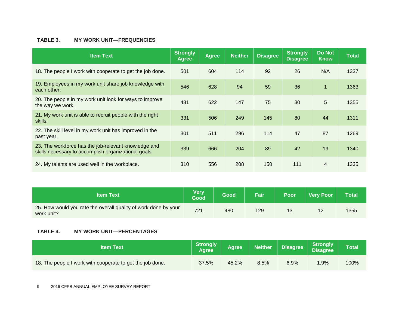#### **TABLE 3. MY WORK UNIT—FREQUENCIES**

| <b>Item Text</b>                                                                                             | <b>Strongly</b><br><b>Agree</b> | <b>Agree</b> | <b>Neither</b> | <b>Disagree</b> | <b>Strongly</b><br><b>Disagree</b> | <b>Do Not</b><br><b>Know</b> | <b>Total</b> |
|--------------------------------------------------------------------------------------------------------------|---------------------------------|--------------|----------------|-----------------|------------------------------------|------------------------------|--------------|
| 18. The people I work with cooperate to get the job done.                                                    | 501                             | 604          | 114            | 92              | 26                                 | N/A                          | 1337         |
| 19. Employees in my work unit share job knowledge with<br>each other.                                        | 546                             | 628          | 94             | 59              | 36                                 | $\overline{1}$               | 1363         |
| 20. The people in my work unit look for ways to improve<br>the way we work.                                  | 481                             | 622          | 147            | 75              | 30                                 | 5                            | 1355         |
| 21. My work unit is able to recruit people with the right<br>skills.                                         | 331                             | 506          | 249            | 145             | 80                                 | 44                           | 1311         |
| 22. The skill level in my work unit has improved in the<br>past year.                                        | 301                             | 511          | 296            | 114             | 47                                 | 87                           | 1269         |
| 23. The workforce has the job-relevant knowledge and<br>skills necessary to accomplish organizational goals. | 339                             | 666          | 204            | 89              | 42                                 | 19                           | 1340         |
| 24. My talents are used well in the workplace.                                                               | 310                             | 556          | 208            | 150             | 111                                | $\overline{4}$               | 1335         |

| <b>Item Text</b>                                                              | <b>Very</b><br>Good | Good | Fair | <b>Poor</b> | <b>Very Poor</b> | Total |
|-------------------------------------------------------------------------------|---------------------|------|------|-------------|------------------|-------|
| 25. How would you rate the overall quality of work done by your<br>work unit? | 721                 | 480  | 129  | 13          | L                | 1355  |

#### **TABLE 4. MY WORK UNIT—PERCENTAGES**

| <b>Item Text</b>                                          | Strongly<br><b>Agree</b> | <b>Agree</b> | <b>Neither</b> | <b>Disagree</b> | <b>Strongly</b><br><b>Disagree</b> | <b>Total</b> |
|-----------------------------------------------------------|--------------------------|--------------|----------------|-----------------|------------------------------------|--------------|
| 18. The people I work with cooperate to get the job done. | 37.5%                    | 45.2%        | 8.5%           | 6.9%            | $.9\%$                             | 100%         |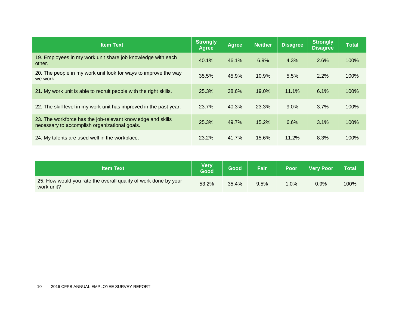| <b>Item Text</b>                                                                                             | <b>Strongly</b><br>Agree | <b>Agree</b> | <b>Neither</b> | <b>Disagree</b> | <b>Strongly</b><br><b>Disagree</b> | <b>Total</b> |
|--------------------------------------------------------------------------------------------------------------|--------------------------|--------------|----------------|-----------------|------------------------------------|--------------|
| 19. Employees in my work unit share job knowledge with each<br>other.                                        | 40.1%                    | 46.1%        | 6.9%           | 4.3%            | 2.6%                               | 100%         |
| 20. The people in my work unit look for ways to improve the way<br>we work.                                  | 35.5%                    | 45.9%        | 10.9%          | 5.5%            | 2.2%                               | 100%         |
| 21. My work unit is able to recruit people with the right skills.                                            | 25.3%                    | 38.6%        | $19.0\%$       | 11.1%           | 6.1%                               | 100%         |
| 22. The skill level in my work unit has improved in the past year.                                           | 23.7%                    | 40.3%        | 23.3%          | $9.0\%$         | 3.7%                               | 100%         |
| 23. The workforce has the job-relevant knowledge and skills<br>necessary to accomplish organizational goals. | 25.3%                    | 49.7%        | 15.2%          | 6.6%            | 3.1%                               | 100%         |
| 24. My talents are used well in the workplace.                                                               | 23.2%                    | 41.7%        | 15.6%          | 11.2%           | 8.3%                               | 100%         |

| <b>Item Text</b>                                                              | <b>Verv</b><br>Good | Good  | <b>Fair</b> | <b>Poor</b> | <b>Very Poor</b> | <b>Total</b> |
|-------------------------------------------------------------------------------|---------------------|-------|-------------|-------------|------------------|--------------|
| 25. How would you rate the overall quality of work done by your<br>work unit? | 53.2%               | 35.4% | 9.5%        | .0%         | 0.9%             | 100%         |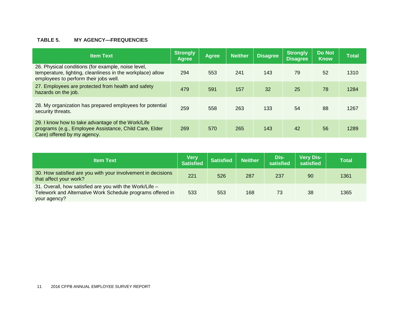#### **TABLE 5. MY AGENCY—FREQUENCIES**

| <b>Item Text</b>                                                                                                                                          | Strongly<br><b>Agree</b> | <b>Agree</b> | <b>Neither</b> | <b>Disagree</b> | <b>Strongly</b><br><b>Disagree</b> | <b>Do Not</b><br><b>Know</b> | <b>Total</b> |
|-----------------------------------------------------------------------------------------------------------------------------------------------------------|--------------------------|--------------|----------------|-----------------|------------------------------------|------------------------------|--------------|
| 26. Physical conditions (for example, noise level,<br>temperature, lighting, cleanliness in the workplace) allow<br>employees to perform their jobs well. | 294                      | 553          | 241            | 143             | 79                                 | 52                           | 1310         |
| 27. Employees are protected from health and safety<br>hazards on the job.                                                                                 | 479                      | 591          | 157            | 32              | 25                                 | 78                           | 1284         |
| 28. My organization has prepared employees for potential<br>security threats.                                                                             | 259                      | 558          | 263            | 133             | 54                                 | 88                           | 1267         |
| 29. I know how to take advantage of the Work/Life<br>programs (e.g., Employee Assistance, Child Care, Elder<br>Care) offered by my agency.                | 269                      | 570          | 265            | 143             | 42                                 | 56                           | 1289         |

| <b>Item Text</b>                                                                                                                      | <b>Very</b><br><b>Satisfied</b> | <b>Satisfied</b> | <b>Neither</b> | Dis-<br>satisfied | <b>Very Dis-</b><br>satisfied | <b>Total</b> |
|---------------------------------------------------------------------------------------------------------------------------------------|---------------------------------|------------------|----------------|-------------------|-------------------------------|--------------|
| 30. How satisfied are you with your involvement in decisions<br>that affect your work?                                                | 221                             | 526              | 287            | 237               | 90                            | 1361         |
| 31. Overall, how satisfied are you with the Work/Life -<br>Telework and Alternative Work Schedule programs offered in<br>your agency? | 533                             | 553              | 168            | 73                | 38                            | 1365         |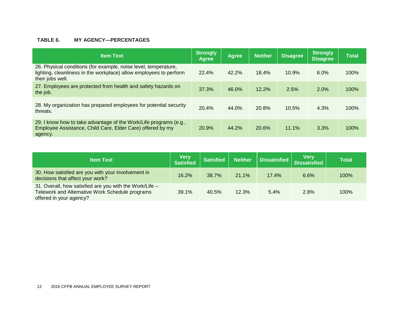#### **TABLE 6. MY AGENCY—PERCENTAGES**

| <b>Item Text</b>                                                                                                                                          | <b>Strongly</b><br><b>Agree</b> | <b>Agree</b> | <b>Neither</b> | <b>Disagree</b> | <b>Strongly</b><br><b>Disagree</b> | <b>Total</b> |
|-----------------------------------------------------------------------------------------------------------------------------------------------------------|---------------------------------|--------------|----------------|-----------------|------------------------------------|--------------|
| 26. Physical conditions (for example, noise level, temperature,<br>lighting, cleanliness in the workplace) allow employees to perform<br>their jobs well. | 22.4%                           | 42.2%        | 18.4%          | 10.9%           | 6.0%                               | 100%         |
| 27. Employees are protected from health and safety hazards on<br>the job.                                                                                 | 37.3%                           | 46.0%        | 12.2%          | 2.5%            | 2.0%                               | 100%         |
| 28. My organization has prepared employees for potential security<br>threats.                                                                             | 20.4%                           | 44.0%        | 20.8%          | 10.5%           | 4.3%                               | 100%         |
| 29. I know how to take advantage of the Work/Life programs (e.g.,<br>Employee Assistance, Child Care, Elder Care) offered by my<br>agency.                | 20.9%                           | 44.2%        | 20.6%          | 11.1%           | 3.3%                               | 100%         |

| <b>Item Text</b>                                                                                                                      | <b>Very</b><br><b>Satisfied</b> | <b>Satisfied</b> | Neither | Dissatisfied | <b>Very</b><br>Dissatisfied | Total |
|---------------------------------------------------------------------------------------------------------------------------------------|---------------------------------|------------------|---------|--------------|-----------------------------|-------|
| 30. How satisfied are you with your involvement in<br>decisions that affect your work?                                                | 16.2%                           | 38.7%            | 21.1%   | 17.4%        | 6.6%                        | 100%  |
| 31. Overall, how satisfied are you with the Work/Life -<br>Telework and Alternative Work Schedule programs<br>offered in your agency? | 39.1%                           | 40.5%            | 12.3%   | 5.4%         | 2.8%                        | 100%  |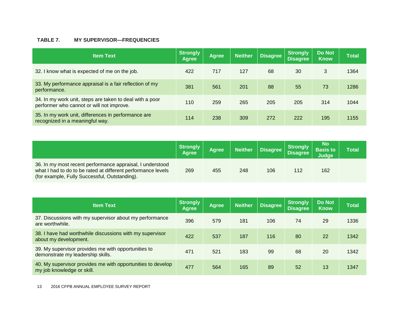#### **TABLE 7. MY SUPERVISOR—FREQUENCIES**

| <b>Item Text</b>                                                                                      | <b>Strongly</b><br><b>Agree</b> | <b>Agree</b> | <b>Neither</b> | <b>Disagree</b> | <b>Strongly</b><br><b>Disagree</b> | <b>Do Not</b><br><b>Know</b> | <b>Total</b> |
|-------------------------------------------------------------------------------------------------------|---------------------------------|--------------|----------------|-----------------|------------------------------------|------------------------------|--------------|
| 32. I know what is expected of me on the job.                                                         | 422                             | 717          | 127            | 68              | 30                                 | 3                            | 1364         |
| 33. My performance appraisal is a fair reflection of my<br>performance.                               | 381                             | 561          | 201            | 88              | 55                                 | 73                           | 1286         |
| 34. In my work unit, steps are taken to deal with a poor<br>performer who cannot or will not improve. | 110                             | 259          | 265            | 205             | 205                                | 314                          | 1044         |
| 35. In my work unit, differences in performance are<br>recognized in a meaningful way.                | 114                             | 238          | 309            | 272             | 222                                | 195                          | 1155         |

|                                                                                                                                                                            | Strongly<br><b>Agree</b> | <b>Agree</b> | <b>Neither</b> | <b>Disagree</b> | <b>Strongly</b><br><b>Disagree</b> | No<br><b>Basis to</b><br>Judge | Total |
|----------------------------------------------------------------------------------------------------------------------------------------------------------------------------|--------------------------|--------------|----------------|-----------------|------------------------------------|--------------------------------|-------|
| 36. In my most recent performance appraisal, I understood<br>what I had to do to be rated at different performance levels<br>(for example, Fully Successful, Outstanding). | 269                      | 455          | 248            | 106             | 112                                | 162                            |       |

| <b>Item Text</b>                                                                          | <b>Strongly</b><br><b>Agree</b> | <b>Agree</b> | <b>Neither</b> | Disagree | <b>Strongly</b><br><b>Disagree</b> | <b>Do Not</b><br><b>Know</b> | <b>Total</b> |
|-------------------------------------------------------------------------------------------|---------------------------------|--------------|----------------|----------|------------------------------------|------------------------------|--------------|
| 37. Discussions with my supervisor about my performance<br>are worthwhile.                | 396                             | 579          | 181            | 106      | 74                                 | 29                           | 1336         |
| 38. I have had worthwhile discussions with my supervisor<br>about my development.         | 422                             | 537          | 187            | 116      | 80                                 | 22                           | 1342         |
| 39. My supervisor provides me with opportunities to<br>demonstrate my leadership skills.  | 471                             | 521          | 183            | 99       | 68                                 | 20                           | 1342         |
| 40. My supervisor provides me with opportunities to develop<br>my job knowledge or skill. | 477                             | 564          | 165            | 89       | 52                                 | 13                           | 1347         |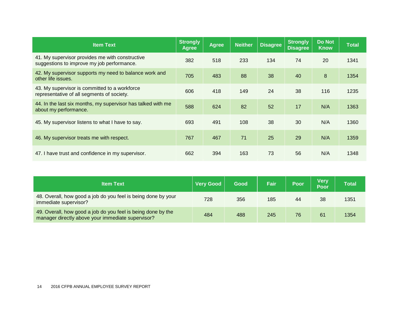| <b>Item Text</b>                                                                              | <b>Strongly</b><br><b>Agree</b> | <b>Agree</b> | <b>Neither</b> | <b>Disagree</b> | <b>Strongly</b><br><b>Disagree</b> | <b>Do Not</b><br><b>Know</b> | <b>Total</b> |
|-----------------------------------------------------------------------------------------------|---------------------------------|--------------|----------------|-----------------|------------------------------------|------------------------------|--------------|
| 41. My supervisor provides me with constructive<br>suggestions to improve my job performance. | 382                             | 518          | 233            | 134             | 74                                 | 20                           | 1341         |
| 42. My supervisor supports my need to balance work and<br>other life issues.                  | 705                             | 483          | 88             | 38              | 40                                 | 8                            | 1354         |
| 43. My supervisor is committed to a workforce<br>representative of all segments of society.   | 606                             | 418          | 149            | 24              | 38                                 | 116                          | 1235         |
| 44. In the last six months, my supervisor has talked with me<br>about my performance.         | 588                             | 624          | 82             | 52              | 17                                 | N/A                          | 1363         |
| 45. My supervisor listens to what I have to say.                                              | 693                             | 491          | 108            | 38              | 30                                 | N/A                          | 1360         |
| 46. My supervisor treats me with respect.                                                     | 767                             | 467          | 71             | 25              | 29                                 | N/A                          | 1359         |
| 47. I have trust and confidence in my supervisor.                                             | 662                             | 394          | 163            | 73              | 56                                 | N/A                          | 1348         |

| <b>Item Text</b>                                                                                                  | <b>Very Good</b> | Good | <b>Fair</b> | Poor | <b>Verv</b><br>Poor | Total |
|-------------------------------------------------------------------------------------------------------------------|------------------|------|-------------|------|---------------------|-------|
| 48. Overall, how good a job do you feel is being done by your<br>immediate supervisor?                            | 728              | 356  | 185         | 44   | 38                  | 1351  |
| 49. Overall, how good a job do you feel is being done by the<br>manager directly above your immediate supervisor? | 484              | 488  | 245         | 76   | 61                  | 1354  |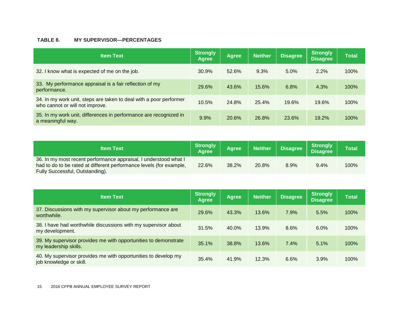#### **TABLE 8. MY SUPERVISOR—PERCENTAGES**

| <b>Item Text</b>                                                                                      | Strongly<br>Agree | <b>Agree</b> | <b>Neither</b> | <b>Disagree</b> | Strongly<br><b>Disagree</b> | <b>Total</b> |
|-------------------------------------------------------------------------------------------------------|-------------------|--------------|----------------|-----------------|-----------------------------|--------------|
| 32. I know what is expected of me on the job.                                                         | 30.9%             | 52.6%        | 9.3%           | 5.0%            | 2.2%                        | 100%         |
| 33. My performance appraisal is a fair reflection of my<br>performance.                               | 29.6%             | 43.6%        | 15.6%          | 6.8%            | 4.3%                        | 100%         |
| 34. In my work unit, steps are taken to deal with a poor performer<br>who cannot or will not improve. | 10.5%             | 24.8%        | 25.4%          | 19.6%           | 19.6%                       | 100%         |
| 35. In my work unit, differences in performance are recognized in<br>a meaningful way.                | 9.9%              | 20.6%        | 26.8%          | 23.6%           | 19.2%                       | 100%         |

| <b>Item Text</b>                                                                                                                                                           | <b>Strongly</b><br><b>Agree</b> | <b>Aaree</b> | <b>Neither</b> | <b>Disagree</b> | <b>Strongly</b><br>Disagree | <b>Total</b> |
|----------------------------------------------------------------------------------------------------------------------------------------------------------------------------|---------------------------------|--------------|----------------|-----------------|-----------------------------|--------------|
| 36. In my most recent performance appraisal, I understood what I<br>had to do to be rated at different performance levels (for example,<br>Fully Successful, Outstanding). | 22.6%                           | 38.2%        | 20.8%          | 8.9%            | 9.4%                        | 100%         |

| <b>Item Text</b>                                                                          | <b>Strongly</b><br>Agree | <b>Agree</b> | <b>Neither</b> | <b>Disagree</b> | <b>Strongly</b><br><b>Disagree</b> | <b>Total</b> |
|-------------------------------------------------------------------------------------------|--------------------------|--------------|----------------|-----------------|------------------------------------|--------------|
| 37. Discussions with my supervisor about my performance are<br>worthwhile.                | 29.6%                    | 43.3%        | 13.6%          | 7.9%            | 5.5%                               | 100%         |
| 38. I have had worthwhile discussions with my supervisor about<br>my development.         | 31.5%                    | 40.0%        | 13.9%          | 8.6%            | 6.0%                               | 100%         |
| 39. My supervisor provides me with opportunities to demonstrate<br>my leadership skills.  | 35.1%                    | 38.8%        | 13.6%          | 7.4%            | 5.1%                               | 100%         |
| 40. My supervisor provides me with opportunities to develop my<br>job knowledge or skill. | 35.4%                    | 41.9%        | 12.3%          | 6.6%            | 3.9%                               | 100%         |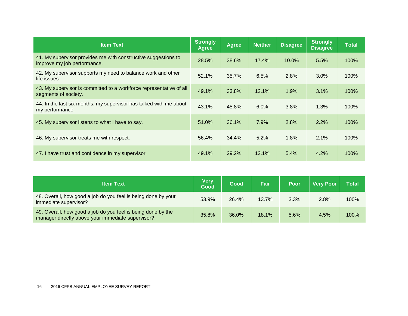| <b>Item Text</b>                                                                              | <b>Strongly</b><br>Agree | <b>Agree</b> | <b>Neither</b> | <b>Disagree</b> | <b>Strongly</b><br><b>Disagree</b> | <b>Total</b> |
|-----------------------------------------------------------------------------------------------|--------------------------|--------------|----------------|-----------------|------------------------------------|--------------|
| 41. My supervisor provides me with constructive suggestions to<br>improve my job performance. | 28.5%                    | 38.6%        | 17.4%          | 10.0%           | 5.5%                               | 100%         |
| 42. My supervisor supports my need to balance work and other<br>life issues.                  | 52.1%                    | 35.7%        | 6.5%           | 2.8%            | 3.0%                               | 100%         |
| 43. My supervisor is committed to a workforce representative of all<br>segments of society.   | 49.1%                    | 33.8%        | 12.1%          | 1.9%            | 3.1%                               | 100%         |
| 44. In the last six months, my supervisor has talked with me about<br>my performance.         | 43.1%                    | 45.8%        | 6.0%           | 3.8%            | 1.3%                               | 100%         |
| 45. My supervisor listens to what I have to say.                                              | 51.0%                    | 36.1%        | 7.9%           | 2.8%            | 2.2%                               | 100%         |
| 46. My supervisor treats me with respect.                                                     | 56.4%                    | 34.4%        | 5.2%           | 1.8%            | 2.1%                               | 100%         |
| 47. I have trust and confidence in my supervisor.                                             | 49.1%                    | 29.2%        | 12.1%          | 5.4%            | 4.2%                               | 100%         |

| <b>Item Text</b>                                                                                                  | <b>Very</b><br>Good | Good  | Fair  | Poor | <b>Very Poor</b> | <b>Total</b> |
|-------------------------------------------------------------------------------------------------------------------|---------------------|-------|-------|------|------------------|--------------|
| 48. Overall, how good a job do you feel is being done by your<br>immediate supervisor?                            | 53.9%               | 26.4% | 13.7% | 3.3% | 2.8%             | 100%         |
| 49. Overall, how good a job do you feel is being done by the<br>manager directly above your immediate supervisor? | 35.8%               | 36.0% | 18.1% | 5.6% | 4.5%             | 100%         |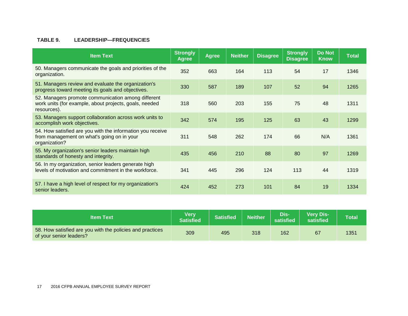#### **TABLE 9. LEADERSHIP—FREQUENCIES**

| <b>Item Text</b>                                                                                                            | <b>Strongly</b><br><b>Agree</b> | Agree | <b>Neither</b> | <b>Disagree</b> | <b>Strongly</b><br><b>Disagree</b> | <b>Do Not</b><br><b>Know</b> | <b>Total</b> |
|-----------------------------------------------------------------------------------------------------------------------------|---------------------------------|-------|----------------|-----------------|------------------------------------|------------------------------|--------------|
| 50. Managers communicate the goals and priorities of the<br>organization.                                                   | 352                             | 663   | 164            | 113             | 54                                 | 17                           | 1346         |
| 51. Managers review and evaluate the organization's<br>progress toward meeting its goals and objectives.                    | 330                             | 587   | 189            | 107             | 52                                 | 94                           | 1265         |
| 52. Managers promote communication among different<br>work units (for example, about projects, goals, needed<br>resources). | 318                             | 560   | 203            | 155             | 75                                 | 48                           | 1311         |
| 53. Managers support collaboration across work units to<br>accomplish work objectives.                                      | 342                             | 574   | 195            | 125             | 63                                 | 43                           | 1299         |
| 54. How satisfied are you with the information you receive<br>from management on what's going on in your<br>organization?   | 311                             | 548   | 262            | 174             | 66                                 | N/A                          | 1361         |
| 55. My organization's senior leaders maintain high<br>standards of honesty and integrity.                                   | 435                             | 456   | 210            | 88              | 80                                 | 97                           | 1269         |
| 56. In my organization, senior leaders generate high<br>levels of motivation and commitment in the workforce.               | 341                             | 445   | 296            | 124             | 113                                | 44                           | 1319         |
| 57. I have a high level of respect for my organization's<br>senior leaders.                                                 | 424                             | 452   | 273            | 101             | 84                                 | 19                           | 1334         |

| <b>Item Text</b>                                                                     | <b>Very</b><br><b>Satisfied</b> | <b>Satisfied</b> | <b>Neither</b> | Dis-<br>satisfied | <b>Very Dis-</b><br>satisfied | Total |
|--------------------------------------------------------------------------------------|---------------------------------|------------------|----------------|-------------------|-------------------------------|-------|
| 58. How satisfied are you with the policies and practices<br>of your senior leaders? | 309                             | 495              | 318            | 162               | 67                            | 1351  |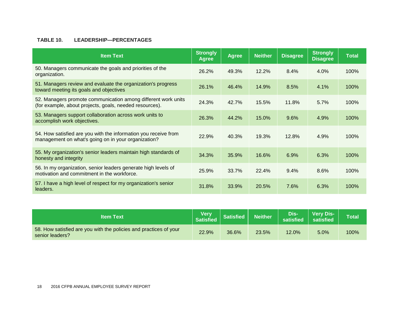#### **TABLE 10. LEADERSHIP—PERCENTAGES**

| <b>Item Text</b>                                                                                                         | <b>Strongly</b><br>Agree | <b>Agree</b> | <b>Neither</b> | <b>Disagree</b> | <b>Strongly</b><br><b>Disagree</b> | <b>Total</b> |
|--------------------------------------------------------------------------------------------------------------------------|--------------------------|--------------|----------------|-----------------|------------------------------------|--------------|
| 50. Managers communicate the goals and priorities of the<br>organization.                                                | 26.2%                    | 49.3%        | 12.2%          | 8.4%            | 4.0%                               | 100%         |
| 51. Managers review and evaluate the organization's progress<br>toward meeting its goals and objectives                  | 26.1%                    | 46.4%        | 14.9%          | 8.5%            | 4.1%                               | 100%         |
| 52. Managers promote communication among different work units<br>(for example, about projects, goals, needed resources). | 24.3%                    | 42.7%        | 15.5%          | 11.8%           | 5.7%                               | 100%         |
| 53. Managers support collaboration across work units to<br>accomplish work objectives.                                   | 26.3%                    | 44.2%        | 15.0%          | 9.6%            | 4.9%                               | 100%         |
| 54. How satisfied are you with the information you receive from<br>management on what's going on in your organization?   | 22.9%                    | 40.3%        | 19.3%          | 12.8%           | 4.9%                               | 100%         |
| 55. My organization's senior leaders maintain high standards of<br>honesty and integrity                                 | 34.3%                    | 35.9%        | 16.6%          | 6.9%            | 6.3%                               | 100%         |
| 56. In my organization, senior leaders generate high levels of<br>motivation and commitment in the workforce.            | 25.9%                    | 33.7%        | 22.4%          | 9.4%            | 8.6%                               | 100%         |
| 57. I have a high level of respect for my organization's senior<br>leaders.                                              | 31.8%                    | 33.9%        | 20.5%          | 7.6%            | 6.3%                               | 100%         |

| <b>Item Text</b>                                                                     | <b>Very</b><br>Satisfied | <b>Satisfied</b> | $\overline{\mathsf{Neither}}^{\mathsf{t}}$ | Dis-'<br>satisfied | <b>Very Dis-</b><br>satisfied | <b>Total</b> |
|--------------------------------------------------------------------------------------|--------------------------|------------------|--------------------------------------------|--------------------|-------------------------------|--------------|
| 58. How satisfied are you with the policies and practices of your<br>senior leaders? | 22.9%                    | 36.6%            | 23.5%                                      | 12.0%              | 5.0%                          | 100%         |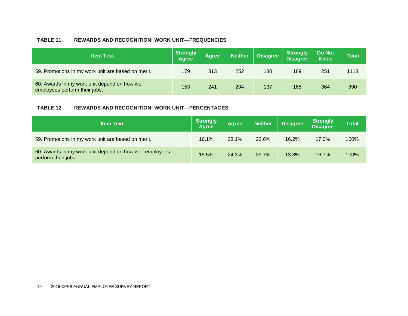#### **TABLE 11. REWARDS AND RECOGNITION: WORK UNIT—FREQUENCIES**

| <b>Item Text</b>                                                               | Strongly<br><b>Agree</b> | <b>Agree</b> | <b>Neither</b> | <b>Disagree</b> | Strongly<br>  Disagree | Do Not<br><b>Know</b> | <b>Total</b> |
|--------------------------------------------------------------------------------|--------------------------|--------------|----------------|-----------------|------------------------|-----------------------|--------------|
| 59. Promotions in my work unit are based on merit.                             | 179                      | 313          | 252            | 180             | 189                    | 251                   | 1113         |
| 60. Awards in my work unit depend on how well<br>employees perform their jobs. | 153                      | 241          | 294            | 137             | 165                    | 364                   | 990          |

#### **TABLE 12. REWARDS AND RECOGNITION: WORK UNIT—PERCENTAGES**

| <b>Item Text</b>                                                               | <b>Strongly</b><br><b>Agree</b> | <b>Agree</b> | <b>Neither</b> | <b>Disagree</b> | <b>Strongly</b><br>Disagree <sup>1</sup> | <b>Total</b> |
|--------------------------------------------------------------------------------|---------------------------------|--------------|----------------|-----------------|------------------------------------------|--------------|
| 59. Promotions in my work unit are based on merit.                             | 16.1%                           | 28.1%        | 22.6%          | 16.2%           | 17.0%                                    | 100%         |
| 60. Awards in my work unit depend on how well employees<br>perform their jobs. | 15.5%                           | 24.3%        | 29.7%          | 13.8%           | 16.7%                                    | 100%         |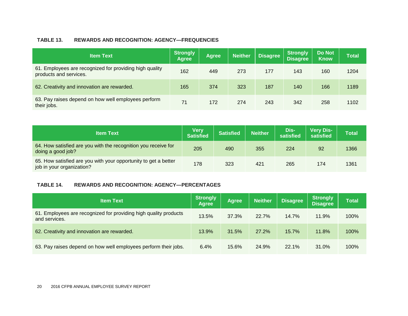#### **TABLE 13. REWARDS AND RECOGNITION: AGENCY—FREQUENCIES**

| <b>Item Text</b>                                                                  | <b>Strongly</b><br><b>Agree</b> | <b>Agree</b> | <b>Neither</b> | <b>Disagree</b> | <b>Strongly</b><br><b>Disagree</b> | <b>Do Not</b><br><b>Know</b> | <b>Total</b> |
|-----------------------------------------------------------------------------------|---------------------------------|--------------|----------------|-----------------|------------------------------------|------------------------------|--------------|
| 61. Employees are recognized for providing high quality<br>products and services. | 162                             | 449          | 273            | 177             | 143                                | 160                          | 1204         |
| 62. Creativity and innovation are rewarded.                                       | 165                             | 374          | 323            | 187             | 140                                | 166                          | 1189         |
| 63. Pay raises depend on how well employees perform<br>their jobs.                | 71                              | 172          | 274            | 243             | 342                                | 258                          | 1102         |

| <b>Item Text</b>                                                                             | Very<br><b>Satisfied</b> | <b>Satisfied</b> | <b>Neither</b> | Dis-<br>satisfied | <b>Very Dis-</b><br>satisfied | <b>Total</b> |
|----------------------------------------------------------------------------------------------|--------------------------|------------------|----------------|-------------------|-------------------------------|--------------|
| 64. How satisfied are you with the recognition you receive for<br>doing a good job?          | 205                      | 490              | 355            | 224               | 92                            | 1366         |
| 65. How satisfied are you with your opportunity to get a better<br>job in your organization? | 178                      | 323              | 421            | 265               | 174                           | 1361         |

#### **TABLE 14. REWARDS AND RECOGNITION: AGENCY—PERCENTAGES**

| <b>Item Text</b>                                                                  | <b>Strongly</b><br><b>Agree</b> | <b>Agree</b> | <b>Neither</b> | <b>Disagree</b> | <b>Strongly</b><br><b>Disagree</b> | <b>Total</b> |
|-----------------------------------------------------------------------------------|---------------------------------|--------------|----------------|-----------------|------------------------------------|--------------|
| 61. Employees are recognized for providing high quality products<br>and services. | 13.5%                           | 37.3%        | 22.7%          | 14.7%           | 11.9%                              | 100%         |
| 62. Creativity and innovation are rewarded.                                       | 13.9%                           | 31.5%        | 27.2%          | 15.7%           | 11.8%                              | 100%         |
| 63. Pay raises depend on how well employees perform their jobs.                   | 6.4%                            | 15.6%        | 24.9%          | 22.1%           | 31.0%                              | 100%         |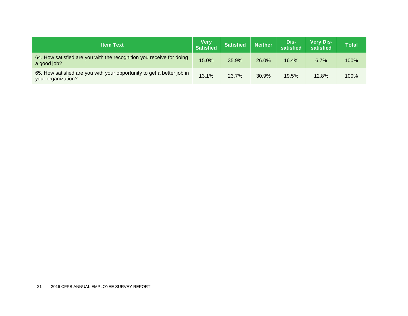| <b>Item Text</b>                                                                             | <b>Very</b><br>Satisfied | <b>Satisfied</b> | <b>Neither</b> | Dis-<br>satisfied | <b>Very Dis-</b><br>satisfied | <b>Total</b> |
|----------------------------------------------------------------------------------------------|--------------------------|------------------|----------------|-------------------|-------------------------------|--------------|
| 64. How satisfied are you with the recognition you receive for doing<br>a good job?          | 15.0%                    | 35.9%            | 26.0%          | 16.4%             | 6.7%                          | 100%         |
| 65. How satisfied are you with your opportunity to get a better job in<br>your organization? | 13.1%                    | 23.7%            | 30.9%          | 19.5%             | 12.8%                         | 100%         |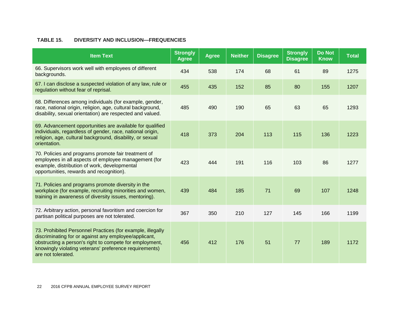#### **TABLE 15. DIVERSITY AND INCLUSION—FREQUENCIES**

| <b>Item Text</b>                                                                                                                                                                                                                                               | <b>Strongly</b><br><b>Agree</b> | <b>Agree</b> | <b>Neither</b> | <b>Disagree</b> | <b>Strongly</b><br><b>Disagree</b> | <b>Do Not</b><br><b>Know</b> | <b>Total</b> |
|----------------------------------------------------------------------------------------------------------------------------------------------------------------------------------------------------------------------------------------------------------------|---------------------------------|--------------|----------------|-----------------|------------------------------------|------------------------------|--------------|
| 66. Supervisors work well with employees of different<br>backgrounds.                                                                                                                                                                                          | 434                             | 538          | 174            | 68              | 61                                 | 89                           | 1275         |
| 67. I can disclose a suspected violation of any law, rule or<br>regulation without fear of reprisal.                                                                                                                                                           | 455                             | 435          | 152            | 85              | 80                                 | 155                          | 1207         |
| 68. Differences among individuals (for example, gender,<br>race, national origin, religion, age, cultural background,<br>disability, sexual orientation) are respected and valued.                                                                             | 485                             | 490          | 190            | 65              | 63                                 | 65                           | 1293         |
| 69. Advancement opportunities are available for qualified<br>individuals, regardless of gender, race, national origin,<br>religion, age, cultural background, disability, or sexual<br>orientation.                                                            | 418                             | 373          | 204            | 113             | 115                                | 136                          | 1223         |
| 70. Policies and programs promote fair treatment of<br>employees in all aspects of employee management (for<br>example, distribution of work, developmental<br>opportunities, rewards and recognition).                                                        | 423                             | 444          | 191            | 116             | 103                                | 86                           | 1277         |
| 71. Policies and programs promote diversity in the<br>workplace (for example, recruiting minorities and women,<br>training in awareness of diversity issues, mentoring).                                                                                       | 439                             | 484          | 185            | 71              | 69                                 | 107                          | 1248         |
| 72. Arbitrary action, personal favoritism and coercion for<br>partisan political purposes are not tolerated.                                                                                                                                                   | 367                             | 350          | 210            | 127             | 145                                | 166                          | 1199         |
| 73. Prohibited Personnel Practices (for example, illegally<br>discriminating for or against any employee/applicant,<br>obstructing a person's right to compete for employment,<br>knowingly violating veterans' preference requirements)<br>are not tolerated. | 456                             | 412          | 176            | 51              | 77                                 | 189                          | 1172         |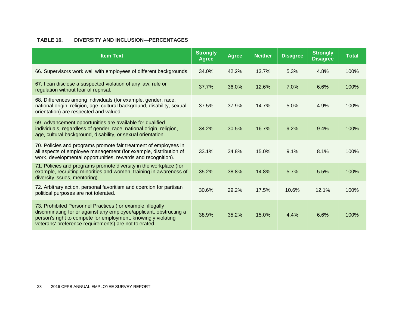#### **TABLE 16. DIVERSITY AND INCLUSION—PERCENTAGES**

| <b>Item Text</b>                                                                                                                                                                                                                                            | <b>Strongly</b><br><b>Agree</b> | <b>Agree</b> | <b>Neither</b> | <b>Disagree</b> | <b>Strongly</b><br><b>Disagree</b> | <b>Total</b> |
|-------------------------------------------------------------------------------------------------------------------------------------------------------------------------------------------------------------------------------------------------------------|---------------------------------|--------------|----------------|-----------------|------------------------------------|--------------|
| 66. Supervisors work well with employees of different backgrounds.                                                                                                                                                                                          | 34.0%                           | 42.2%        | 13.7%          | 5.3%            | 4.8%                               | 100%         |
| 67. I can disclose a suspected violation of any law, rule or<br>regulation without fear of reprisal.                                                                                                                                                        | 37.7%                           | 36.0%        | 12.6%          | 7.0%            | 6.6%                               | 100%         |
| 68. Differences among individuals (for example, gender, race,<br>national origin, religion, age, cultural background, disability, sexual<br>orientation) are respected and valued.                                                                          | 37.5%                           | 37.9%        | 14.7%          | 5.0%            | 4.9%                               | 100%         |
| 69. Advancement opportunities are available for qualified<br>individuals, regardless of gender, race, national origin, religion,<br>age, cultural background, disability, or sexual orientation.                                                            | 34.2%                           | 30.5%        | 16.7%          | 9.2%            | 9.4%                               | 100%         |
| 70. Policies and programs promote fair treatment of employees in<br>all aspects of employee management (for example, distribution of<br>work, developmental opportunities, rewards and recognition).                                                        | 33.1%                           | 34.8%        | 15.0%          | 9.1%            | 8.1%                               | 100%         |
| 71. Policies and programs promote diversity in the workplace (for<br>example, recruiting minorities and women, training in awareness of<br>diversity issues, mentoring).                                                                                    | 35.2%                           | 38.8%        | 14.8%          | 5.7%            | 5.5%                               | 100%         |
| 72. Arbitrary action, personal favoritism and coercion for partisan<br>political purposes are not tolerated.                                                                                                                                                | 30.6%                           | 29.2%        | 17.5%          | 10.6%           | 12.1%                              | 100%         |
| 73. Prohibited Personnel Practices (for example, illegally<br>discriminating for or against any employee/applicant, obstructing a<br>person's right to compete for employment, knowingly violating<br>veterans' preference requirements) are not tolerated. | 38.9%                           | 35.2%        | 15.0%          | 4.4%            | 6.6%                               | 100%         |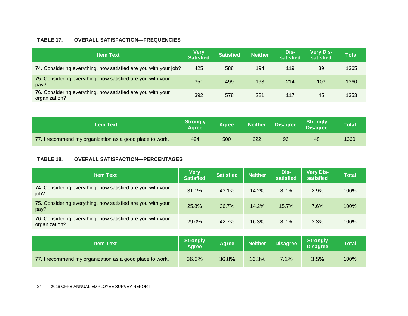#### **TABLE 17. OVERALL SATISFACTION—FREQUENCIES**

| <b>Item Text</b>                                                             | <b>Very</b><br><b>Satisfied</b> | <b>Satisfied</b> | <b>Neither</b> | Dis-<br>satisfied | <b>Very Dis-</b><br>satisfied | Total |
|------------------------------------------------------------------------------|---------------------------------|------------------|----------------|-------------------|-------------------------------|-------|
| 74. Considering everything, how satisfied are you with your job?             | 425                             | 588              | 194            | 119               | 39                            | 1365  |
| 75. Considering everything, how satisfied are you with your<br>pay?          | 351                             | 499              | 193            | 214               | 103                           | 1360  |
| 76. Considering everything, how satisfied are you with your<br>organization? | 392                             | 578              | 221            | 117               | 45                            | 1353  |

| <b>Item Text</b>                                         | <b>Strongly</b><br><b>Agree</b> | <b>Agree</b> | Neither | <b>Disagree</b> | <b>Strongly</b><br><b>Disagree</b> | Total |
|----------------------------------------------------------|---------------------------------|--------------|---------|-----------------|------------------------------------|-------|
| 77. I recommend my organization as a good place to work. | 494                             | 500          | 222     | 96              | 48                                 | 1360  |

#### **TABLE 18. OVERALL SATISFACTION—PERCENTAGES**

| <b>Item Text</b>                                                             | <b>Very</b><br><b>Satisfied</b> | <b>Satisfied</b> | <b>Neither</b> | Dis-<br>satisfied | <b>Very Dis-</b><br>satisfied      | <b>Total</b> |
|------------------------------------------------------------------------------|---------------------------------|------------------|----------------|-------------------|------------------------------------|--------------|
| 74. Considering everything, how satisfied are you with your<br>job?          | 31.1%                           | 43.1%            | 14.2%          | 8.7%              | 2.9%                               | 100%         |
| 75. Considering everything, how satisfied are you with your<br>pay?          | 25.8%                           | 36.7%            | 14.2%          | 15.7%             | 7.6%                               | 100%         |
| 76. Considering everything, how satisfied are you with your<br>organization? | 29.0%                           | 42.7%            | 16.3%          | 8.7%              | 3.3%                               | 100%         |
|                                                                              |                                 |                  |                |                   |                                    |              |
| <b>Item Text</b>                                                             | <b>Strongly</b><br><b>Agree</b> | <b>Agree</b>     | <b>Neither</b> | <b>Disagree</b>   | <b>Strongly</b><br><b>Disagree</b> | <b>Total</b> |
| 77. I recommend my organization as a good place to work.                     | 36.3%                           | 36.8%            | 16.3%          | 7.1%              | 3.5%                               | 100%         |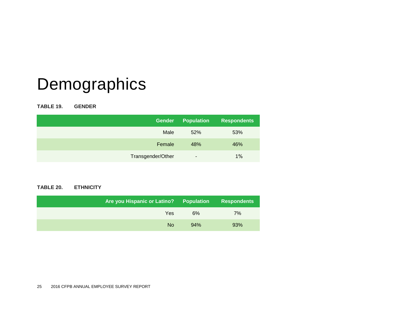# Demographics

**TABLE 19. GENDER**

| <b>Gender</b>     | <b>Population</b> | Respondents |
|-------------------|-------------------|-------------|
| Male              | 52%               | 53%         |
| Female            | 48%               | 46%         |
| Transgender/Other | ۰                 | 1%          |

#### **TABLE 20. ETHNICITY**

| Are you Hispanic or Latino? I | <b>Population</b> | <b>Respondents</b> |
|-------------------------------|-------------------|--------------------|
| Yes                           | 6%                | $7\%$              |
| <b>No</b>                     | 94%               | 93%                |